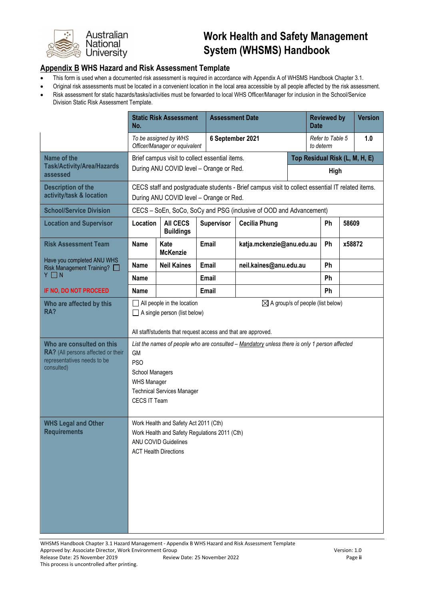

#### **Appendix B WHS Hazard and Risk Assessment Template**

- This form is used when a documented risk assessment is required in accordance with Appendix A of WHSMS Handbook Chapter 3.1.
- Original risk assessments must be located in a convenient location in the local area accessible by all people affected by the risk assessment.
- Risk assessment for static hazards/tasks/activities must be forwarded to local WHS Officer/Manager for inclusion in the School/Service Division Static Risk Assessment Template.

|                                                                                                              | No.                     | <b>Static Risk Assessment</b>                                                                                                                                                                      |            | <b>Assessment Date</b>                                             |                                              |                               | <b>Reviewed by</b><br><b>Date</b> |     |  |
|--------------------------------------------------------------------------------------------------------------|-------------------------|----------------------------------------------------------------------------------------------------------------------------------------------------------------------------------------------------|------------|--------------------------------------------------------------------|----------------------------------------------|-------------------------------|-----------------------------------|-----|--|
|                                                                                                              |                         | To be assigned by WHS<br>Officer/Manager or equivalent                                                                                                                                             |            | 6 September 2021                                                   |                                              | Refer to Table 5<br>to determ |                                   | 1.0 |  |
| Name of the                                                                                                  |                         | Brief campus visit to collect essential items.<br>Top Residual Risk (L, M, H, E)                                                                                                                   |            |                                                                    |                                              |                               |                                   |     |  |
| <b>Task/Activity/Area/Hazards</b><br>assessed                                                                |                         | During ANU COVID level - Orange or Red.                                                                                                                                                            |            |                                                                    |                                              | <b>High</b>                   |                                   |     |  |
| <b>Description of the</b><br>activity/task & location                                                        |                         | CECS staff and postgraduate students - Brief campus visit to collect essential IT related items.<br>During ANU COVID level - Orange or Red.                                                        |            |                                                                    |                                              |                               |                                   |     |  |
| <b>School/Service Division</b>                                                                               |                         |                                                                                                                                                                                                    |            | CECS - SoEn, SoCo, SoCy and PSG (inclusive of OOD and Advancement) |                                              |                               |                                   |     |  |
| <b>Location and Supervisor</b>                                                                               | Location                | <b>AII CECS</b><br><b>Buildings</b>                                                                                                                                                                | Supervisor | <b>Cecilia Phung</b>                                               |                                              | Ph                            | 58609                             |     |  |
| <b>Risk Assessment Team</b>                                                                                  | <b>Name</b>             | Kate<br><b>McKenzie</b>                                                                                                                                                                            | Email      | katja.mckenzie@anu.edu.au                                          |                                              | Ph                            | x58872                            |     |  |
| Have you completed ANU WHS<br>Risk Management Training?                                                      | <b>Name</b>             | <b>Neil Kaines</b>                                                                                                                                                                                 | Email      | neil.kaines@anu.edu.au                                             |                                              | Ph                            |                                   |     |  |
| $Y \square N$                                                                                                | <b>Name</b>             |                                                                                                                                                                                                    | Email      |                                                                    |                                              | Ph                            |                                   |     |  |
| IF NO, DO NOT PROCEED                                                                                        | <b>Name</b>             |                                                                                                                                                                                                    | Email      |                                                                    |                                              | Ph                            |                                   |     |  |
| Who are affected by this<br>RA?                                                                              |                         | $\Box$ All people in the location<br>$\Box$ A single person (list below)<br>All staff/students that request access and that are approved.                                                          |            |                                                                    | $\boxtimes$ A group/s of people (list below) |                               |                                   |     |  |
| Who are consulted on this<br>RA? (All persons affected or their<br>representatives needs to be<br>consulted) | <b>GM</b><br><b>PSO</b> | List the names of people who are consulted - Mandatory unless there is only 1 person affected<br><b>School Managers</b><br><b>WHS Manager</b><br><b>Technical Services Manager</b><br>CECS IT Team |            |                                                                    |                                              |                               |                                   |     |  |
| <b>WHS Legal and Other</b><br><b>Requirements</b>                                                            |                         | Work Health and Safety Act 2011 (Cth)<br>Work Health and Safety Regulations 2011 (Cth)<br>ANU COVID Guidelines<br><b>ACT Health Directions</b>                                                     |            |                                                                    |                                              |                               |                                   |     |  |

WHSMS Handbook Chapter 3.1 Hazard Management - Appendix B WHS Hazard and Risk Assessment Template Approved by: Associate Director, Work Environment Group Version: 1.0 Release Date: 25 November 2019 Review Date: 25 November 2022 Page **ii** This process is uncontrolled after printing.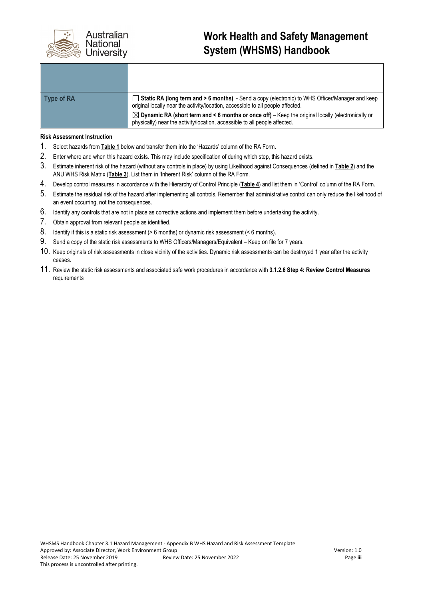

| Type of RA | <b>Static RA (long term and &gt; 6 months)</b> - Send a copy (electronic) to WHS Officer/Manager and keep<br>original locally near the activity/location, accessible to all people affected. |
|------------|----------------------------------------------------------------------------------------------------------------------------------------------------------------------------------------------|
|            | $\boxtimes$ Dynamic RA (short term and < 6 months or once off) – Keep the original locally (electronically or<br>physically) near the activity/location, accessible to all people affected.  |

#### **Risk Assessment Instruction**

- 1. Select hazards from **Table 1** below and transfer them into the 'Hazards' column of the RA Form.
- 2. Enter where and when this hazard exists. This may include specification of during which step, this hazard exists.
- 3. Estimate inherent risk of the hazard (without any controls in place) by using Likelihood against Consequences (defined in **Table 2**) and the ANU WHS Risk Matrix (**Table 3**). List them in 'Inherent Risk' column of the RA Form.
- 4. Develop control measures in accordance with the Hierarchy of Control Principle (**Table 4**) and list them in 'Control' column of the RA Form.
- 5. Estimate the residual risk of the hazard after implementing all controls. Remember that administrative control can only reduce the likelihood of an event occurring, not the consequences.
- 6. Identify any controls that are not in place as corrective actions and implement them before undertaking the activity.
- 7. Obtain approval from relevant people as identified.
- 8. Identify if this is a static risk assessment (> 6 months) or dynamic risk assessment (< 6 months).
- 9. Send a copy of the static risk assessments to WHS Officers/Managers/Equivalent Keep on file for 7 years.
- 10. Keep originals of risk assessments in close vicinity of the activities. Dynamic risk assessments can be destroyed 1 year after the activity ceases.
- 11. Review the static risk assessments and associated safe work procedures in accordance with **3.1.2.6 Step 4: Review Control Measures**  requirements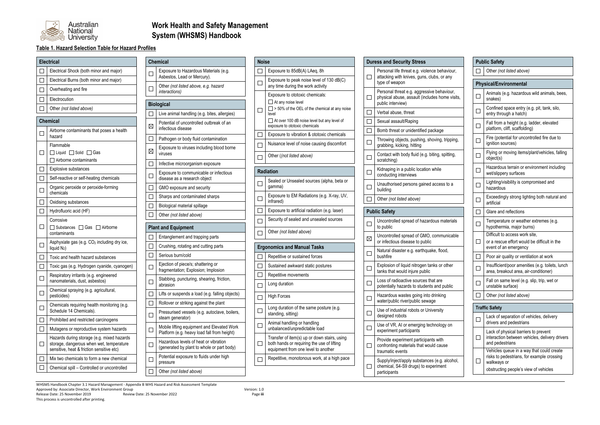WHSMS Handbook Chapter 3.1 Hazard Management - Appendix B WHS Hazard and Risk Assessment Template Approved by: Associate Director, Work Environment Group<br>Release Date: 25 November 2019 Review Date: 25 November 2022 Release Date: 25 November 2019 Review Date: 25 November 2022 Page **iii** This process is uncontrolled after printing.

| ır,                 |  |
|---------------------|--|
|                     |  |
| r,                  |  |
| sits,               |  |
| J.<br>$\mathbb{R}$  |  |
|                     |  |
|                     |  |
|                     |  |
| ng,                 |  |
|                     |  |
| g,                  |  |
|                     |  |
|                     |  |
| $\sim 10^{11}$<br>l |  |
|                     |  |
|                     |  |
|                     |  |
|                     |  |
| als                 |  |
| ble                 |  |
|                     |  |
|                     |  |
|                     |  |
|                     |  |
|                     |  |
|                     |  |
|                     |  |
|                     |  |
|                     |  |
|                     |  |
|                     |  |
|                     |  |
|                     |  |
| $\overline{a}$      |  |
| iol,                |  |
|                     |  |



## **Work Health and Safety Management System (WHSMS) Handbook**

#### **Table 1. Hazard Selection Table for Hazard Profiles**

| <b>Electrical</b>           |                                                                                                                                      |                             | <b>Chemical</b>                                                                     |                             | <b>Noise</b>                                                                                                                      |  |  |
|-----------------------------|--------------------------------------------------------------------------------------------------------------------------------------|-----------------------------|-------------------------------------------------------------------------------------|-----------------------------|-----------------------------------------------------------------------------------------------------------------------------------|--|--|
|                             | Electrical Shock (both minor and major)                                                                                              |                             | Exposure to Hazardous Materials (e.g.                                               |                             | Exposure to 85dB(A) LAeq, 8h                                                                                                      |  |  |
| ∟                           | Electrical Burns (both minor and major)                                                                                              |                             | Asbestos, Lead or Mercury).                                                         |                             | Exposure to peak noise level of 130 dB(C)                                                                                         |  |  |
|                             | Overheating and fire                                                                                                                 | $\Box$                      | Other (not listed above, e.g. hazard<br>interactions)                               |                             | any time during the work activity                                                                                                 |  |  |
| └                           | Electrocution                                                                                                                        |                             |                                                                                     |                             | Exposure to ototoxic chemicals:<br>$\Box$ At any noise level                                                                      |  |  |
|                             | Other (not listed above)                                                                                                             |                             | <b>Biological</b>                                                                   | ٦                           | $\Box$ > 50% of the OEL of the chemical at any noise                                                                              |  |  |
|                             | <b>Chemical</b>                                                                                                                      |                             | Live animal handling (e.g. bites, allergies)                                        |                             | level<br>At over 100 dB noise level but any level of                                                                              |  |  |
|                             | Airborne contaminants that poses a health                                                                                            | $\boxtimes$                 | Potential of uncontrolled outbreak of an<br>infectious disease                      |                             | exposure to ototoxic chemicals                                                                                                    |  |  |
| ப                           | hazard                                                                                                                               | $\Box$                      | Pathogen or body fluid contamination                                                |                             | Exposure to vibration & ototoxic chemicals                                                                                        |  |  |
|                             | Flammable                                                                                                                            |                             | Exposure to viruses including blood borne                                           |                             | Nuisance level of noise causing discomfort                                                                                        |  |  |
| $\mathcal{L}_{\mathcal{A}}$ | $\Box$ Liquid $\Box$ Solid $\Box$ Gas                                                                                                | $\boxtimes$                 | viruses                                                                             | $\mathcal{L}$               | Other ((not listed above)                                                                                                         |  |  |
|                             | $\Box$ Airborne contaminants                                                                                                         |                             | Infective microorganism exposure                                                    |                             |                                                                                                                                   |  |  |
| $\Box$                      | Explosive substances                                                                                                                 |                             | Exposure to communicable or infectious                                              |                             | <b>Radiation</b>                                                                                                                  |  |  |
| $\Box$                      | Self-reactive or self-heating chemicals                                                                                              | $\sim$                      | disease as a research object                                                        | $\mathcal{L}$               | Sealed or Unsealed sources (alpha, beta or                                                                                        |  |  |
|                             | Organic peroxide or peroxide-forming<br>chemicals                                                                                    |                             | GMO exposure and security                                                           |                             | gamma)                                                                                                                            |  |  |
|                             | Oxidising substances                                                                                                                 |                             | Sharps and contaminated sharps                                                      |                             | Exposure to EM Radiations (e.g. X-ray, UV,<br>infrared)                                                                           |  |  |
| ╚                           | Hydrofluoric acid (HF)                                                                                                               |                             | Biological material spillage                                                        |                             | Exposure to artificial radiation (e.g. laser)                                                                                     |  |  |
| ╚                           | Corrosive                                                                                                                            |                             | Other (not listed above)                                                            |                             | Security of sealed and unsealed sources                                                                                           |  |  |
| ப                           | □ Substances □ Gas □ Airborne                                                                                                        |                             | <b>Plant and Equipment</b>                                                          | ×                           |                                                                                                                                   |  |  |
|                             | contaminants                                                                                                                         |                             | Entanglement and trapping parts                                                     | $\mathcal{L}$               | Other (not listed above)                                                                                                          |  |  |
| ட                           | Asphyxiate gas (e.g. CO <sub>2</sub> including dry ice,                                                                              | $\mathcal{L}$               | Crushing, rotating and cutting parts                                                |                             |                                                                                                                                   |  |  |
|                             | liquid N <sub>2</sub> )                                                                                                              |                             | Serious burn/cold                                                                   |                             | <b>Ergonomics and Manual Tasks</b>                                                                                                |  |  |
|                             | Toxic and health hazard substances                                                                                                   |                             | Ejection of piece/s; shattering or                                                  |                             | Repetitive or sustained forces                                                                                                    |  |  |
|                             | Toxic gas (e.g. Hydrogen cyanide, cyanogen)                                                                                          | $\Box$                      | fragmentation; Explosion; Implosion                                                 | ×                           | Sustained awkward static postures                                                                                                 |  |  |
|                             | Respiratory irritants (e.g. engineered<br>nanomaterials, dust, asbestos)                                                             | $\Box$                      | Stabbing, puncturing, shearing, friction,                                           | ×                           | Repetitive movements                                                                                                              |  |  |
|                             | Chemical spraying (e.g. agricultural,                                                                                                |                             | abrasion                                                                            | $\mathcal{L}$               | Long duration                                                                                                                     |  |  |
| $\Box$                      | pesticides)                                                                                                                          |                             | Lifts or suspends a load (e.g. falling objects)                                     | $\Box$                      | <b>High Forces</b>                                                                                                                |  |  |
| ப                           | Chemicals requiring health monitoring (e.g.                                                                                          | $\mathcal{L}_{\mathcal{A}}$ | Rollover or striking against the plant                                              |                             | Long duration of the same posture (e.g.                                                                                           |  |  |
|                             | Schedule 14 Chemicals).                                                                                                              | $\Box$                      | Pressurised vessels (e.g. autoclave, boilers,<br>steam generator)                   | $\Box$                      | standing, sitting)                                                                                                                |  |  |
| $\Box$                      | Prohibited and restricted carcinogens                                                                                                |                             | Mobile lifting equipment and Elevated Work                                          | $\mathcal{L}_{\mathcal{A}}$ | Animal handling or handling                                                                                                       |  |  |
| ╚                           | Mutagens or reproductive system hazards                                                                                              | $\Box$                      | Platform (e.g. heavy load fall from height)                                         |                             | unbalanced/unpredictable load                                                                                                     |  |  |
| $\Box$                      | Hazards during storage (e.g. mixed hazards)<br>storage, dangerous when wet, temperature<br>sensitive, heat & friction sensitive etc) | $\Box$                      | Hazardous levels of heat or vibration<br>(generated by plant to whole or part body) | $\mathcal{L}_{\mathcal{A}}$ | Transfer of item(s) up or down stairs, using<br>both hands or requiring the use of lifting<br>equipment from one level to another |  |  |
|                             | Mix two chemicals to form a new chemical                                                                                             | $\Box$                      | Potential exposure to fluids under high                                             | ×                           | Repetitive, monotonous work, at a high pace                                                                                       |  |  |
|                             | Chemical spill - Controlled or uncontrolled                                                                                          |                             | pressure                                                                            |                             |                                                                                                                                   |  |  |
|                             |                                                                                                                                      |                             | Other (not listed above)                                                            |                             |                                                                                                                                   |  |  |

#### **Duress and Security Stress** Personal life threat e.g. violence behaviou attacking with knives, guns, clubs, or any type of weapon Personal threat e.g. aggressive behaviour,  $\Box$ physical abuse, assault (includes home vist public interview)  $\Box$ Verbal abuse, threat  $\Box$ Sexual assault/Raping  $\Box$ Bomb threat or unidentified package Throwing objects, pushing, shoving, tripping  $\Box$ grabbing, kicking, hitting Contact with body fluid (e.g. biting, spitting,  $\Box$ scratching) Kidnaping in a public location while  $\Box$ conducting interviews Unauthorised persons gained access to a  $\Box$ building Other *(not listed above)* **Public Safety** Uncontrolled spread of hazardous materia  $\Box$ to public Uncontrolled spread of GMO, communicable  $\boxtimes$ or infectious disease to public Natural disaster e.g. earthquake, flood,  $\Box$ bushfire Explosion of liquid nitrogen tanks or other  $\Box$ tanks that would injure public Loss of radioactive sources that are  $\Box$ potentially hazards to students and public Hazardous wastes going into drinking  $\Box$ water/public river/public sewage Use of industrial robots or University  $\Box$ designed robots Use of VR, AI or emerging technology on  $\Box$ experiment participants Provide experiment participants with  $\Box$ confronting materials that would cause traumatic events Supply/inject/apply substances (e.g. alcoh  $\Box$ chemical, S4-S9 drugs) to experiment participants

#### **Public Safety**

|        | Other (not listed above)                                                                                  |
|--------|-----------------------------------------------------------------------------------------------------------|
|        | <b>Physical/Environmental</b>                                                                             |
| ΙI     | Animals (e.g. hazardous wild animals, bees,<br>snakes)                                                    |
|        | Confined space entry (e.g. pit, tank, silo,<br>entry through a hatch)                                     |
|        | Fall from a height (e.g. ladder, elevated<br>platform, cliff, scaffolding)                                |
|        | Fire (potential for uncontrolled fire due to<br>ignition sources)                                         |
|        | Flying or moving items/plant/vehicles, falling<br>object(s)                                               |
| П      | Hazardous terrain or environment including<br>wet/slippery surfaces                                       |
|        | Lighting/visibility is compromised and<br>hazardous                                                       |
| $\Box$ | Exceedingly strong lighting both natural and<br>artificial                                                |
| П      | Glare and reflections                                                                                     |
| $\Box$ | Temperature or weather extremes (e.g.<br>hypothermia, major burns)                                        |
| ΙI     | Difficult to access work site,<br>or a rescue effort would be difficult in the<br>event of an emergency   |
| П      | Poor air quality or ventilation at work                                                                   |
|        | Insufficient/poor amenities (e.g. toilets, lunch<br>area, breakout area, air-conditioner)                 |
|        | Fall on same level (e.g. slip, trip, wet or<br>unstable surface)                                          |
|        | Other (not listed above)                                                                                  |
|        | <b>Traffic Safety</b>                                                                                     |
|        | Lack of separation of vehicles, delivery<br>drivers and pedestrians                                       |
|        | Lack of physical barriers to prevent<br>interaction between vehicles, delivery drivers<br>and pedestrians |
|        | Vehicles queue in a way that could create                                                                 |

risks to pedestrians, for example crossing

walkways or

 $\Box$ 

obstructing people's view of vehicles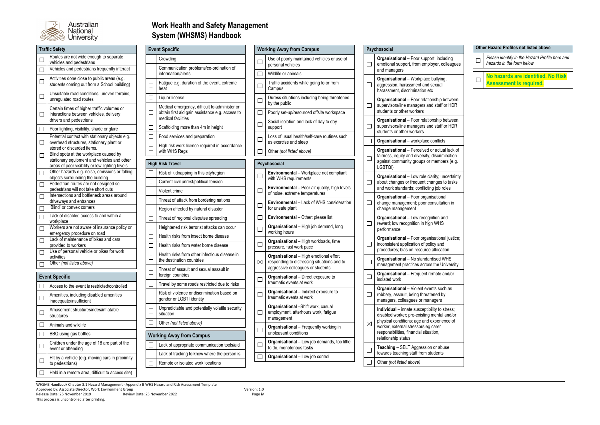WHSMS Handbook Chapter 3.1 Hazard Management - Appendix B WHS Hazard and Risk Assessment Template Approved by: Associate Director, Work Environment Group<br>Release Date: 25 November 2019 Review Date: 25 November 2022<br>Page iv Review Date: 25 November 2022 This process is uncontrolled after printing.



|                          | <b>Traffic Safety</b>                                                                                                                    |
|--------------------------|------------------------------------------------------------------------------------------------------------------------------------------|
|                          | Routes are not wide enough to separate<br>vehicles and pedestrians                                                                       |
| П                        | Vehicles and pedestrians frequently interact                                                                                             |
| П                        | Activities done close to public areas (e.g.<br>students coming out from a School building)                                               |
|                          | Unsuitable road conditions, uneven terrains,<br>unregulated road routes                                                                  |
| П                        | Certain times of higher traffic volumes or<br>interactions between vehicles, delivery<br>drivers and pedestrians                         |
| П                        | Poor lighting, visibility, shade or glare                                                                                                |
| $\Box$                   | Potential contact with stationary objects e.g.<br>overhead structures, stationary plant or<br>stored or discarded items.                 |
|                          | Blind spots at the workplace caused by<br>stationary equipment and vehicles and other<br>areas of poor visibility or low lighting levels |
| П                        | Other hazards e.g. noise, emissions or falling<br>objects surrounding the building                                                       |
| $\Box$                   | Pedestrian routes are not designed so<br>pedestrians will not take short cuts                                                            |
| П                        | Intersections and bottleneck areas around<br>driveways and entrances                                                                     |
|                          | 'Blind' or convex corners                                                                                                                |
| П                        | Lack of disabled access to and within a<br>workplace                                                                                     |
|                          | Workers are not aware of insurance policy or<br>emergency procedure on road                                                              |
|                          | Lack of maintenance of bikes and cars<br>provided to workers                                                                             |
|                          | Use of personal vehicle or bikes for work<br>activities                                                                                  |
|                          | Other (not listed above)                                                                                                                 |
|                          | <b>Event Specific</b>                                                                                                                    |
|                          | Access to the event is restricted/controlled                                                                                             |
|                          | Amenities, including disabled amenities<br>inadequate/insufficient                                                                       |
| $\overline{\phantom{a}}$ | Amusement structures/rides/inflatable<br>structures                                                                                      |
|                          | Animals and wildlife                                                                                                                     |
|                          | BBQ using gas bottles                                                                                                                    |
|                          | Children under the age of 18 are part of the<br>event or attending                                                                       |
| - 1                      | Hit by a vehicle (e.g. moving cars in proximity<br>to pedestrians)                                                                       |
|                          | Held in a remote area, difficult to access site)                                                                                         |

| <b>Event Specific</b>                                                                                                  |
|------------------------------------------------------------------------------------------------------------------------|
| Crowding                                                                                                               |
| Communication problems/co-ordination of<br>information/alerts                                                          |
| Fatigue e.g. duration of the event, extreme<br>heat                                                                    |
| Liquor license                                                                                                         |
| Medical emergency, difficult to administer or<br>obtain first aid gain assistance e.g. access to<br>medical facilities |
| Scaffolding more than 4m in height                                                                                     |
| Food services and preparation                                                                                          |
| High risk work licence required in accordance<br>with WHS Regs                                                         |
| <b>High Risk Travel</b>                                                                                                |
| Risk of kidnapping in this city/region                                                                                 |
| Current civil unrest/political tension                                                                                 |
| Violent crime                                                                                                          |
| Threat of attack from bordering nations                                                                                |
| Region affected by natural disaster                                                                                    |
| Threat of regional disputes spreading                                                                                  |
| Heightened risk terrorist attacks can occur                                                                            |
| Health risks from insect borne disease                                                                                 |
| Health risks from water borne disease                                                                                  |
| Health risks from other infectious disease in<br>the destination countries                                             |
| Threat of assault and sexual assault in<br>foreign countries                                                           |
| Travel by some roads restricted due to risks                                                                           |
| Risk of violence or discrimination based on<br>gender or LGBTI identity                                                |
| Unpredictable and potentially volatile security<br>situation                                                           |
| Other (not listed above)                                                                                               |
| <b>Working Away from Campus</b>                                                                                        |
| Lack of appropriate communication tools/aid                                                                            |
| Lack of tracking to know where the person is                                                                           |
| Remote or isolated work locations                                                                                      |

|                | <b>Working Away from Campus</b>                                                                                                   |
|----------------|-----------------------------------------------------------------------------------------------------------------------------------|
|                | Use of poorly maintained vehicles or use of<br>personal vehicles                                                                  |
|                | Wildlife or animals                                                                                                               |
| $\mathsf{L}$   | Traffic accidents while going to or from<br>Campus                                                                                |
| П              | Duress situations including being threatened<br>by the public                                                                     |
| $\Box$         | Poorly set-up/resourced offsite workspace                                                                                         |
| $\Box$         | Social isolation and lack of day to day<br>support                                                                                |
| П              | Loss of usual health/self-care routines such<br>as exercise and sleep                                                             |
| П              | Other (not listed above)                                                                                                          |
|                | Psychosocial                                                                                                                      |
| $\Box$         | Environmental - Workplace not compliant<br>with WHS requirements                                                                  |
| $\Box$         | Environmental - Poor air quality, high levels<br>of noise, extreme temperatures                                                   |
| $\Box$         | Environmental - Lack of WHS consideration<br>for unsafe plant                                                                     |
| П              | Environmental - Other: please list                                                                                                |
|                | Organisational - High job demand, long<br>working hours                                                                           |
| $\blacksquare$ | Organisational - High workloads, time<br>pressure, fast work pace                                                                 |
| ⊠              | <b>Organisational</b> - High emotional effort<br>responding to distressing situations and to<br>aggressive colleagues or students |
|                | <b>Organisational</b> - Direct exposure to<br>traumatic events at work                                                            |
|                | <b>Organisational</b> - Indirect exposure to<br>traumatic events at work                                                          |
| - 1            | Organisational -Shift work, casual<br>employment, afterhours work, fatigue<br>management                                          |
| $\mathsf{L}$   | Organisational - Frequently working in<br>unpleasant conditions                                                                   |
|                | <b>Organisational</b> - Low job demands, too little<br>to do, monotonous tasks                                                    |
|                | <b>Organisational</b> - Low job control                                                                                           |
|                |                                                                                                                                   |

|                             | Psychosocial                                                                                                                                                                                                                                        |
|-----------------------------|-----------------------------------------------------------------------------------------------------------------------------------------------------------------------------------------------------------------------------------------------------|
| $\Box$                      | <b>Organisational</b> - Poor support, including<br>emotional support, from employer, colleagues<br>and managers                                                                                                                                     |
|                             | <b>Organisational</b> - Workplace bullying,<br>aggression, harassment and sexual<br>harassment, discrimination etc                                                                                                                                  |
|                             | Organisational - Poor relationship between<br>supervisors/line managers and staff or HDR<br>students or other workers                                                                                                                               |
| $\mathcal{L}_{\mathcal{A}}$ | Organisational - Poor relationship between<br>supervisors/line managers and staff or HDR<br>students or other workers                                                                                                                               |
|                             | <b>Organisational</b> – workplace conflicts                                                                                                                                                                                                         |
|                             | <b>Organisational</b> - Perceived or actual lack of<br>fairness, equity and diversity; discrimination<br>against community groups or members (e.g.<br>LGBTQI)                                                                                       |
| $\Box$                      | Organisational - Low role clarity; uncertainty<br>about changes or frequent changes to tasks<br>and work standards; conflicting job roles                                                                                                           |
| $\mathbb{R}^n$              | <b>Organisational</b> - Poor organisational<br>change management; poor consultation in<br>change management                                                                                                                                         |
| $\Box$                      | <b>Organisational</b> - Low recognition and<br>reward; low recognition in high WHS<br>performance                                                                                                                                                   |
| $\Box$                      | <b>Organisational</b> - Poor organisational justice;<br>inconsistent application of policy and<br>procedures; bias on resource allocation                                                                                                           |
|                             | <b>Organisational</b> – No standardised WHS<br>management practices across the University                                                                                                                                                           |
|                             | Organisational - Frequent remote and/or<br>isolated work                                                                                                                                                                                            |
|                             | <b>Organisational</b> - Violent events such as<br>robbery, assault, being threatened by<br>managers, colleagues or managers                                                                                                                         |
| ⊠                           | Individual - innate susceptibility to stress;<br>disabled worker; pre-existing mental and/or<br>physical conditions; age and experience of<br>worker, external stressors eg carer<br>responsibilities, financial situation,<br>relationship status. |
|                             | <b>Teaching - SELT Aggression or abuse</b><br>towards teaching staff from students                                                                                                                                                                  |
|                             | Other (not listed above)                                                                                                                                                                                                                            |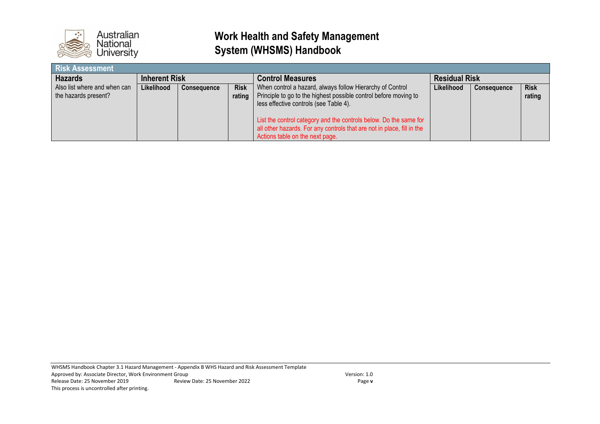

| <b>Risk Assessment</b>                               |            |                      |                       |                                                                                                                                                                                                                                                                                                                                                           |                      |                    |                       |  |  |  |  |
|------------------------------------------------------|------------|----------------------|-----------------------|-----------------------------------------------------------------------------------------------------------------------------------------------------------------------------------------------------------------------------------------------------------------------------------------------------------------------------------------------------------|----------------------|--------------------|-----------------------|--|--|--|--|
| <b>Hazards</b>                                       |            | <b>Inherent Risk</b> |                       | <b>Control Measures</b>                                                                                                                                                                                                                                                                                                                                   | <b>Residual Risk</b> |                    |                       |  |  |  |  |
| Also list where and when can<br>the hazards present? | Likelihood | <b>Consequence</b>   | <b>Risk</b><br>rating | When control a hazard, always follow Hierarchy of Control<br>Principle to go to the highest possible control before moving to<br>less effective controls (see Table 4).<br>List the control category and the controls below. Do the same for<br>all other hazards. For any controls that are not in place, fill in the<br>Actions table on the next page. | Likelihood           | <b>Consequence</b> | <b>Risk</b><br>rating |  |  |  |  |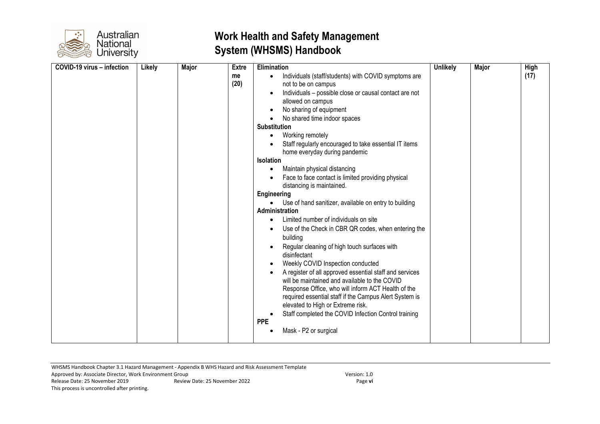

| COVID-19 virus - infection | Likely | Major | <b>Extre</b><br>me<br>(20) | Elimination<br>Individuals (staff/students) with COVID symptoms are<br>$\bullet$<br>not to be on campus<br>Individuals - possible close or causal contact are not<br>allowed on campus<br>No sharing of equipment<br>No shared time indoor spaces<br><b>Substitution</b><br>Working remotely<br>$\bullet$<br>Staff regularly encouraged to take essential IT items<br>home everyday during pandemic<br><b>Isolation</b><br>Maintain physical distancing                                                                              | <b>Unlikely</b> | <b>Major</b> | High<br>(17) |
|----------------------------|--------|-------|----------------------------|--------------------------------------------------------------------------------------------------------------------------------------------------------------------------------------------------------------------------------------------------------------------------------------------------------------------------------------------------------------------------------------------------------------------------------------------------------------------------------------------------------------------------------------|-----------------|--------------|--------------|
|                            |        |       |                            | Use of the Check in CBR QR codes, when entering the<br>building<br>Regular cleaning of high touch surfaces with<br>disinfectant<br>Weekly COVID Inspection conducted<br>A register of all approved essential staff and services<br>will be maintained and available to the COVID<br>Response Office, who will inform ACT Health of the<br>required essential staff if the Campus Alert System is<br>elevated to High or Extreme risk.<br>Staff completed the COVID Infection Control training<br><b>PPE</b><br>Mask - P2 or surgical |                 |              |              |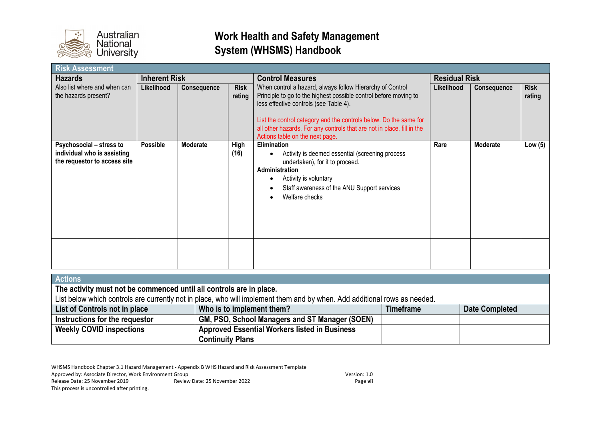

| <b>Risk Assessment</b>                                                                  |                      |                    |                       |                                                                                                                                                                                                                                                                                                                                                           |                      |                       |                       |
|-----------------------------------------------------------------------------------------|----------------------|--------------------|-----------------------|-----------------------------------------------------------------------------------------------------------------------------------------------------------------------------------------------------------------------------------------------------------------------------------------------------------------------------------------------------------|----------------------|-----------------------|-----------------------|
| <b>Hazards</b>                                                                          | <b>Inherent Risk</b> |                    |                       | <b>Control Measures</b>                                                                                                                                                                                                                                                                                                                                   | <b>Residual Risk</b> |                       |                       |
| Also list where and when can<br>the hazards present?                                    | Likelihood           | <b>Consequence</b> | <b>Risk</b><br>rating | When control a hazard, always follow Hierarchy of Control<br>Principle to go to the highest possible control before moving to<br>less effective controls (see Table 4).<br>List the control category and the controls below. Do the same for<br>all other hazards. For any controls that are not in place, fill in the<br>Actions table on the next page. | Likelihood           | Consequence           | <b>Risk</b><br>rating |
| Psychosocial - stress to<br>individual who is assisting<br>the requestor to access site | <b>Possible</b>      | <b>Moderate</b>    | High<br>(16)          | Elimination<br>Activity is deemed essential (screening process<br>undertaken), for it to proceed.<br>Administration<br>Activity is voluntary<br>Staff awareness of the ANU Support services<br>Welfare checks                                                                                                                                             | Rare                 | <b>Moderate</b>       | Low $(5)$             |
|                                                                                         |                      |                    |                       |                                                                                                                                                                                                                                                                                                                                                           |                      |                       |                       |
|                                                                                         |                      |                    |                       |                                                                                                                                                                                                                                                                                                                                                           |                      |                       |                       |
| <b>Actions</b>                                                                          |                      |                    |                       |                                                                                                                                                                                                                                                                                                                                                           |                      |                       |                       |
| The activity must not be commenced until all controls are in place.                     |                      |                    |                       | List below which controls are currently not in place, who will implement them and by when. Add additional rows as needed.                                                                                                                                                                                                                                 |                      |                       |                       |
| List of Controls not in place<br>Who is to implement them?                              |                      |                    |                       | <b>Timeframe</b>                                                                                                                                                                                                                                                                                                                                          |                      | <b>Date Completed</b> |                       |

| $\blacksquare$ List of Controls not in place $\blacksquare$ | who is to implement them?                             | <u>i imeirame</u> | <b>Date Completed</b> |
|-------------------------------------------------------------|-------------------------------------------------------|-------------------|-----------------------|
| Instructions for the requestor                              | <b>GM, PSO, School Managers and ST Manager (SOEN)</b> |                   |                       |
| <b>Weekly COVID inspections</b>                             | Approved Essential Workers listed in Business         |                   |                       |
|                                                             | <b>Continuity Plans</b>                               |                   |                       |
|                                                             |                                                       |                   |                       |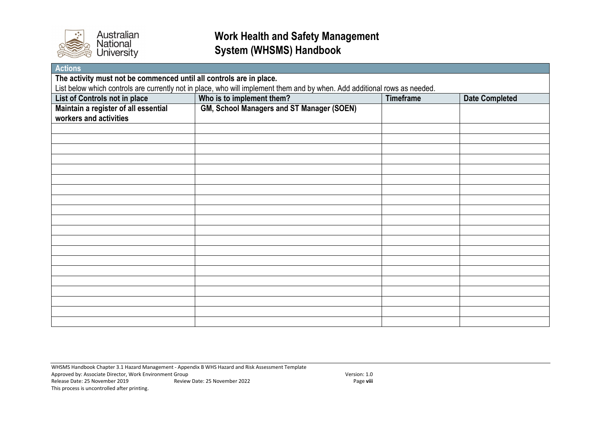

| <b>Actions</b>                                                      |                                                                                                                           |                  |                       |  |
|---------------------------------------------------------------------|---------------------------------------------------------------------------------------------------------------------------|------------------|-----------------------|--|
| The activity must not be commenced until all controls are in place. |                                                                                                                           |                  |                       |  |
|                                                                     | List below which controls are currently not in place, who will implement them and by when. Add additional rows as needed. |                  |                       |  |
| List of Controls not in place                                       | Who is to implement them?                                                                                                 | <b>Timeframe</b> | <b>Date Completed</b> |  |
| Maintain a register of all essential                                | GM, School Managers and ST Manager (SOEN)                                                                                 |                  |                       |  |
| workers and activities                                              |                                                                                                                           |                  |                       |  |
|                                                                     |                                                                                                                           |                  |                       |  |
|                                                                     |                                                                                                                           |                  |                       |  |
|                                                                     |                                                                                                                           |                  |                       |  |
|                                                                     |                                                                                                                           |                  |                       |  |
|                                                                     |                                                                                                                           |                  |                       |  |
|                                                                     |                                                                                                                           |                  |                       |  |
|                                                                     |                                                                                                                           |                  |                       |  |
|                                                                     |                                                                                                                           |                  |                       |  |
|                                                                     |                                                                                                                           |                  |                       |  |
|                                                                     |                                                                                                                           |                  |                       |  |
|                                                                     |                                                                                                                           |                  |                       |  |
|                                                                     |                                                                                                                           |                  |                       |  |
|                                                                     |                                                                                                                           |                  |                       |  |
|                                                                     |                                                                                                                           |                  |                       |  |
|                                                                     |                                                                                                                           |                  |                       |  |
|                                                                     |                                                                                                                           |                  |                       |  |
|                                                                     |                                                                                                                           |                  |                       |  |
|                                                                     |                                                                                                                           |                  |                       |  |
|                                                                     |                                                                                                                           |                  |                       |  |
|                                                                     |                                                                                                                           |                  |                       |  |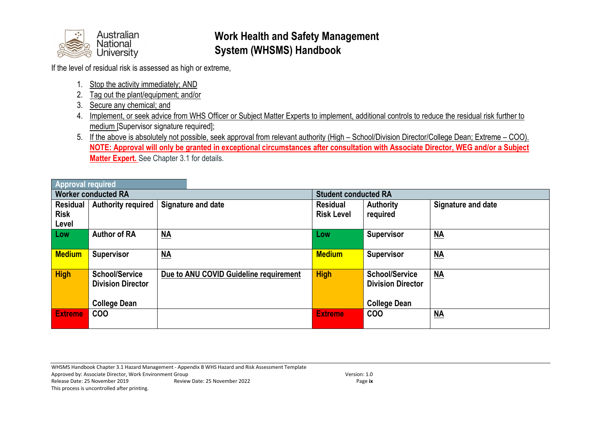

If the level of residual risk is assessed as high or extreme,

- 1. Stop the activity immediately; AND
- 2. Tag out the plant/equipment; and/or
- 3. Secure any chemical; and
- 4. Implement, or seek advice from WHS Officer or Subject Matter Experts to implement, additional controls to reduce the residual risk further to medium [Supervisor signature required];
- 5. If the above is absolutely not possible, seek approval from relevant authority (High School/Division Director/College Dean; Extreme COO). **NOTE: Approval will only be granted in exceptional circumstances after consultation with Associate Director, WEG and/or a Subject Matter Expert.** See Chapter 3.1 for details.

| $\sim$                     |                               |                                        |                   |                          |                           |
|----------------------------|-------------------------------|----------------------------------------|-------------------|--------------------------|---------------------------|
| <b>Worker conducted RA</b> |                               | <b>Student conducted RA</b>            |                   |                          |                           |
|                            | Residual   Authority required | Signature and date                     | <b>Residual</b>   | <b>Authority</b>         | Signature and date        |
| <b>Risk</b>                |                               |                                        | <b>Risk Level</b> | required                 |                           |
| Level                      |                               |                                        |                   |                          |                           |
| Low                        | <b>Author of RA</b>           | $\underline{NA}$                       | Low               | <b>Supervisor</b>        | $\underline{\mathsf{NA}}$ |
|                            |                               |                                        |                   |                          |                           |
| <b>Medium</b>              | <b>Supervisor</b>             | $\underline{\mathsf{NA}}$              | <b>Medium</b>     | <b>Supervisor</b>        | $\underline{\mathsf{NA}}$ |
|                            |                               |                                        |                   |                          |                           |
| <b>High</b>                | <b>School/Service</b>         | Due to ANU COVID Guideline requirement | <b>High</b>       | <b>School/Service</b>    | $\underline{\mathsf{NA}}$ |
|                            | <b>Division Director</b>      |                                        |                   | <b>Division Director</b> |                           |
|                            |                               |                                        |                   |                          |                           |
|                            | <b>College Dean</b>           |                                        |                   | <b>College Dean</b>      |                           |
| <b>Extreme</b>             | <b>COO</b>                    |                                        | <b>Extreme</b>    | <b>COO</b>               | $\underline{\mathsf{NA}}$ |
|                            |                               |                                        |                   |                          |                           |

**Approval required**

WHSMS Handbook Chapter 3.1 Hazard Management - Appendix B WHS Hazard and Risk Assessment Template Approved by: Associate Director, Work Environment Group Version: 1.0 Release Date: 25 November 2019 Review Date: 25 November 2022 Page **ix** This process is uncontrolled after printing.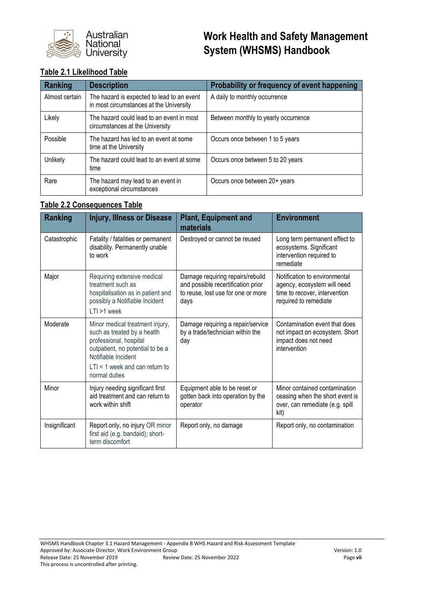

#### **Table 2.1 Likelihood Table**

| Ranking        | <b>Description</b>                                                                    | Probability or frequency of event happening |
|----------------|---------------------------------------------------------------------------------------|---------------------------------------------|
| Almost certain | The hazard is expected to lead to an event<br>in most circumstances at the University | A daily to monthly occurrence               |
| Likely         | The hazard could lead to an event in most<br>circumstances at the University          | Between monthly to yearly occurrence        |
| Possible       | The hazard has led to an event at some<br>time at the University                      | Occurs once between 1 to 5 years            |
| Unlikely       | The hazard could lead to an event at some<br>time                                     | Occurs once between 5 to 20 years           |
| Rare           | The hazard may lead to an event in<br>exceptional circumstances                       | Occurs once between 20+ years               |

#### **Table 2.2 Consequences Table**

| Ranking       | <b>Injury, Illness or Disease</b>                                                                                                                                                                       | <b>Plant, Equipment and</b><br>materials                                                                             | <b>Environment</b>                                                                                                     |
|---------------|---------------------------------------------------------------------------------------------------------------------------------------------------------------------------------------------------------|----------------------------------------------------------------------------------------------------------------------|------------------------------------------------------------------------------------------------------------------------|
| Catastrophic  | Fatality / fatalities or permanent<br>disability. Permanently unable<br>to work                                                                                                                         | Destroyed or cannot be reused                                                                                        | Long term permanent effect to<br>ecosystems. Significant<br>intervention required to<br>remediate                      |
| Major         | Requiring extensive medical<br>treatment such as<br>hospitalisation as in patient and<br>possibly a Notifiable Incident<br>$LTI > 1$ week                                                               | Damage requiring repairs/rebuild<br>and possible recertification prior<br>to reuse, lost use for one or more<br>days | Notification to environmental<br>agency, ecosystem will need<br>time to recover, intervention<br>required to remediate |
| Moderate      | Minor medical treatment injury,<br>such as treated by a health<br>professional, hospital<br>outpatient, no potential to be a<br>Notifiable Incident<br>$LT < 1$ week and can return to<br>normal duties | Damage requiring a repair/service<br>by a trade/technician within the<br>day                                         | Contamination event that does<br>not impact on ecosystem. Short<br>impact does not need<br>intervention                |
| Minor         | Injury needing significant first<br>aid treatment and can return to<br>work within shift                                                                                                                | Equipment able to be reset or<br>gotten back into operation by the<br>operator                                       | Minor contained contamination<br>ceasing when the short event is<br>over, can remediate (e.g. spill<br>kit)            |
| Insignificant | Report only, no injury OR minor<br>first aid (e.g. bandaid); short-<br>term discomfort                                                                                                                  | Report only, no damage                                                                                               | Report only, no contamination                                                                                          |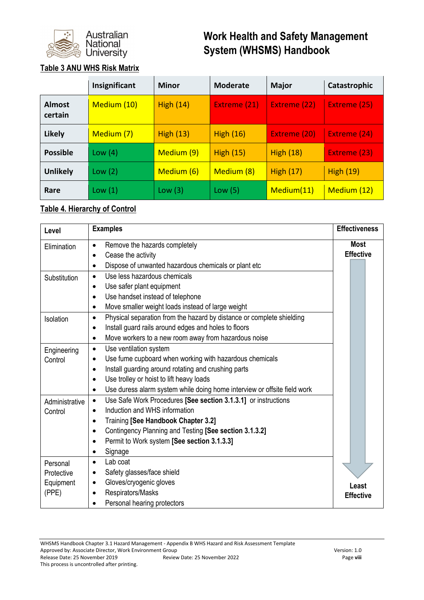

#### **Table 3 ANU WHS Risk Matrix**

|                          | Insignificant | <b>Minor</b>     | <b>Moderate</b>     | <b>Major</b>     | Catastrophic     |
|--------------------------|---------------|------------------|---------------------|------------------|------------------|
| <b>Almost</b><br>certain | Medium (10)   | <b>High (14)</b> | <b>Extreme (21)</b> | Extreme (22)     | Extreme (25)     |
| <b>Likely</b>            | Medium (7)    | <b>High (13)</b> | High $(16)$         | Extreme (20)     | Extreme (24)     |
| <b>Possible</b>          | Low $(4)$     | Medium (9)       | High $(15)$         | High (18)        | Extreme (23)     |
| <b>Unlikely</b>          | Low(2)        | Medium (6)       | Medium (8)          | <b>High (17)</b> | <b>High (19)</b> |
| Rare                     | Low(1)        | Low $(3)$        | Low(5)              | Medium(11)       | Medium (12)      |

#### **Table 4. Hierarchy of Control**

| Level          | <b>Examples</b>                                                                       | <b>Effectiveness</b> |  |
|----------------|---------------------------------------------------------------------------------------|----------------------|--|
| Elimination    | <b>Most</b><br>Remove the hazards completely<br>$\bullet$                             |                      |  |
|                | Cease the activity<br>$\bullet$                                                       | <b>Effective</b>     |  |
|                | Dispose of unwanted hazardous chemicals or plant etc                                  |                      |  |
| Substitution   | Use less hazardous chemicals<br>$\bullet$                                             |                      |  |
|                | Use safer plant equipment<br>$\bullet$                                                |                      |  |
|                | Use handset instead of telephone<br>$\bullet$                                         |                      |  |
|                | Move smaller weight loads instead of large weight<br>$\bullet$                        |                      |  |
| Isolation      | Physical separation from the hazard by distance or complete shielding<br>$\bullet$    |                      |  |
|                | Install guard rails around edges and holes to floors<br>$\bullet$                     |                      |  |
|                | Move workers to a new room away from hazardous noise<br>$\bullet$                     |                      |  |
| Engineering    | Use ventilation system<br>$\bullet$                                                   |                      |  |
| Control        | Use fume cupboard when working with hazardous chemicals<br>$\bullet$                  |                      |  |
|                | Install guarding around rotating and crushing parts<br>$\bullet$                      |                      |  |
|                | Use trolley or hoist to lift heavy loads<br>$\bullet$                                 |                      |  |
|                | Use duress alarm system while doing home interview or offsite field work<br>$\bullet$ |                      |  |
| Administrative | Use Safe Work Procedures [See section 3.1.3.1] or instructions<br>$\bullet$           |                      |  |
| Control        | Induction and WHS information                                                         |                      |  |
|                | Training [See Handbook Chapter 3.2]                                                   |                      |  |
|                | Contingency Planning and Testing [See section 3.1.3.2]<br>$\bullet$                   |                      |  |
|                | Permit to Work system [See section 3.1.3.3]<br>$\bullet$                              |                      |  |
|                | Signage                                                                               |                      |  |
| Personal       | Lab coat<br>$\bullet$                                                                 |                      |  |
| Protective     | Safety glasses/face shield                                                            |                      |  |
| Equipment      | Gloves/cryogenic gloves<br>$\bullet$<br>Least                                         |                      |  |
| (PPE)          | Respirators/Masks<br>$\bullet$                                                        | <b>Effective</b>     |  |
|                | Personal hearing protectors                                                           |                      |  |